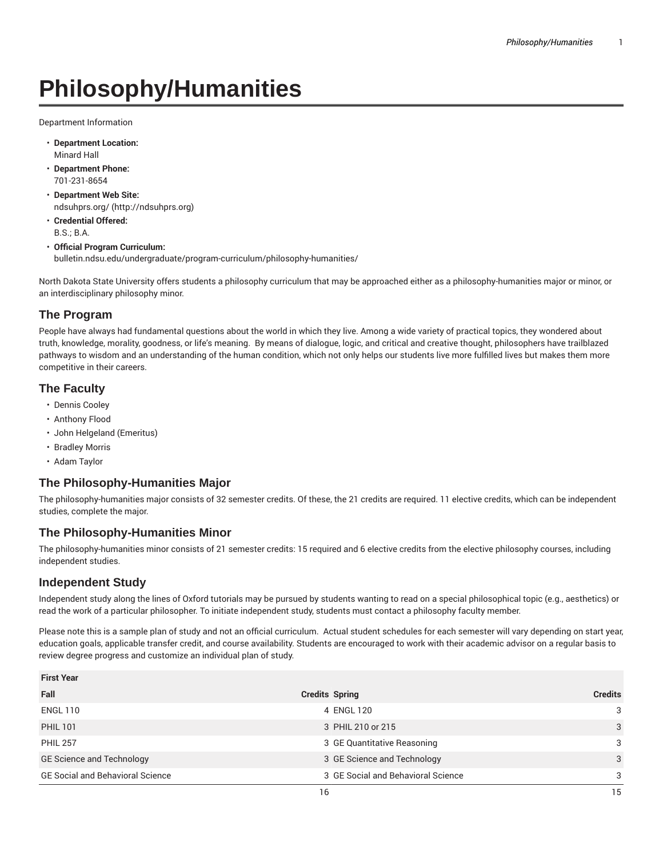# **Philosophy/Humanities**

Department Information

- **Department Location:** Minard Hall
- **Department Phone:** 701-231-8654
- **Department Web Site:** ndsuhprs.org/ (http://ndsuhprs.org)
- **Credential Offered:** B.S.; B.A.
- **Official Program Curriculum:** bulletin.ndsu.edu/undergraduate/program-curriculum/philosophy-humanities/

North Dakota State University offers students a philosophy curriculum that may be approached either as a philosophy-humanities major or minor, or an interdisciplinary philosophy minor.

# **The Program**

People have always had fundamental questions about the world in which they live. Among a wide variety of practical topics, they wondered about truth, knowledge, morality, goodness, or life's meaning. By means of dialogue, logic, and critical and creative thought, philosophers have trailblazed pathways to wisdom and an understanding of the human condition, which not only helps our students live more fulfilled lives but makes them more competitive in their careers.

## **The Faculty**

- Dennis Cooley
- Anthony Flood
- John Helgeland (Emeritus)
- Bradley Morris
- Adam Taylor

### **The Philosophy-Humanities Major**

The philosophy-humanities major consists of 32 semester credits. Of these, the 21 credits are required. 11 elective credits, which can be independent studies, complete the major.

### **The Philosophy-Humanities Minor**

The philosophy-humanities minor consists of 21 semester credits: 15 required and 6 elective credits from the elective philosophy courses, including independent studies.

### **Independent Study**

Independent study along the lines of Oxford tutorials may be pursued by students wanting to read on a special philosophical topic (e.g., aesthetics) or read the work of a particular philosopher. To initiate independent study, students must contact a philosophy faculty member.

Please note this is a sample plan of study and not an official curriculum. Actual student schedules for each semester will vary depending on start year, education goals, applicable transfer credit, and course availability. Students are encouraged to work with their academic advisor on a regular basis to review degree progress and customize an individual plan of study.

| <b>First Year</b>                       |                                    |                |
|-----------------------------------------|------------------------------------|----------------|
| Fall                                    | <b>Credits Spring</b>              | <b>Credits</b> |
| <b>ENGL 110</b>                         | 4 ENGL 120                         | 3              |
| <b>PHIL 101</b>                         | 3 PHIL 210 or 215                  | 3              |
| <b>PHIL 257</b>                         | 3 GE Quantitative Reasoning        | 3              |
| <b>GE Science and Technology</b>        | 3 GE Science and Technology        | 3              |
| <b>GE Social and Behavioral Science</b> | 3 GE Social and Behavioral Science | 3              |